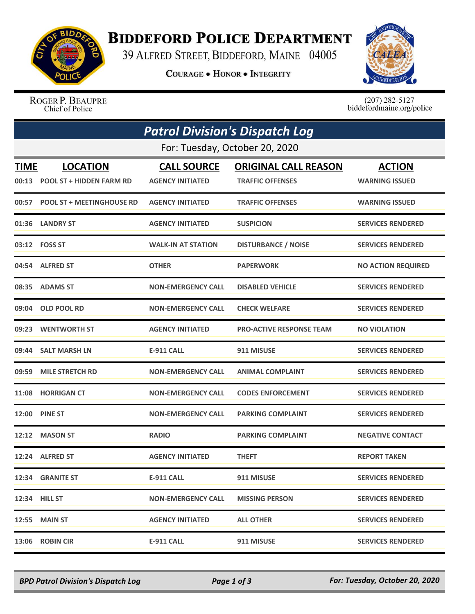

## **BIDDEFORD POLICE DEPARTMENT**

39 ALFRED STREET, BIDDEFORD, MAINE 04005

**COURAGE . HONOR . INTEGRITY** 



ROGER P. BEAUPRE Chief of Police

 $(207)$  282-5127 biddefordmaine.org/police

| <b>Patrol Division's Dispatch Log</b> |                                 |                           |                                 |                           |  |  |  |
|---------------------------------------|---------------------------------|---------------------------|---------------------------------|---------------------------|--|--|--|
| For: Tuesday, October 20, 2020        |                                 |                           |                                 |                           |  |  |  |
| <b>TIME</b>                           | <b>LOCATION</b>                 | <b>CALL SOURCE</b>        | <b>ORIGINAL CALL REASON</b>     | <b>ACTION</b>             |  |  |  |
|                                       | 00:13 POOL ST + HIDDEN FARM RD  | <b>AGENCY INITIATED</b>   | <b>TRAFFIC OFFENSES</b>         | <b>WARNING ISSUED</b>     |  |  |  |
|                                       | 00:57 POOL ST + MEETINGHOUSE RD | <b>AGENCY INITIATED</b>   | <b>TRAFFIC OFFENSES</b>         | <b>WARNING ISSUED</b>     |  |  |  |
|                                       | 01:36 LANDRY ST                 | <b>AGENCY INITIATED</b>   | <b>SUSPICION</b>                | <b>SERVICES RENDERED</b>  |  |  |  |
|                                       | 03:12    FOSS ST                | <b>WALK-IN AT STATION</b> | <b>DISTURBANCE / NOISE</b>      | <b>SERVICES RENDERED</b>  |  |  |  |
|                                       | 04:54 ALFRED ST                 | <b>OTHER</b>              | <b>PAPERWORK</b>                | <b>NO ACTION REQUIRED</b> |  |  |  |
|                                       | 08:35 ADAMS ST                  | <b>NON-EMERGENCY CALL</b> | <b>DISABLED VEHICLE</b>         | <b>SERVICES RENDERED</b>  |  |  |  |
| 09:04                                 | <b>OLD POOL RD</b>              | <b>NON-EMERGENCY CALL</b> | <b>CHECK WELFARE</b>            | <b>SERVICES RENDERED</b>  |  |  |  |
|                                       | 09:23 WENTWORTH ST              | <b>AGENCY INITIATED</b>   | <b>PRO-ACTIVE RESPONSE TEAM</b> | <b>NO VIOLATION</b>       |  |  |  |
| 09:44                                 | <b>SALT MARSH LN</b>            | <b>E-911 CALL</b>         | 911 MISUSE                      | <b>SERVICES RENDERED</b>  |  |  |  |
| 09:59                                 | <b>MILE STRETCH RD</b>          | <b>NON-EMERGENCY CALL</b> | <b>ANIMAL COMPLAINT</b>         | <b>SERVICES RENDERED</b>  |  |  |  |
| 11:08                                 | <b>HORRIGAN CT</b>              | <b>NON-EMERGENCY CALL</b> | <b>CODES ENFORCEMENT</b>        | <b>SERVICES RENDERED</b>  |  |  |  |
|                                       | <b>12:00 PINE ST</b>            | <b>NON-EMERGENCY CALL</b> | <b>PARKING COMPLAINT</b>        | <b>SERVICES RENDERED</b>  |  |  |  |
|                                       | 12:12 MASON ST                  | <b>RADIO</b>              | <b>PARKING COMPLAINT</b>        | <b>NEGATIVE CONTACT</b>   |  |  |  |
|                                       | 12:24 ALFRED ST                 | <b>AGENCY INITIATED</b>   | <b>THEFT</b>                    | <b>REPORT TAKEN</b>       |  |  |  |
|                                       | 12:34 GRANITE ST                | <b>E-911 CALL</b>         | 911 MISUSE                      | <b>SERVICES RENDERED</b>  |  |  |  |
|                                       | 12:34 HILL ST                   | <b>NON-EMERGENCY CALL</b> | <b>MISSING PERSON</b>           | <b>SERVICES RENDERED</b>  |  |  |  |
|                                       | <b>12:55 MAIN ST</b>            | <b>AGENCY INITIATED</b>   | <b>ALL OTHER</b>                | <b>SERVICES RENDERED</b>  |  |  |  |
|                                       | 13:06 ROBIN CIR                 | E-911 CALL                | 911 MISUSE                      | <b>SERVICES RENDERED</b>  |  |  |  |

*BPD Patrol Division's Dispatch Log Page 1 of 3 For: Tuesday, October 20, 2020*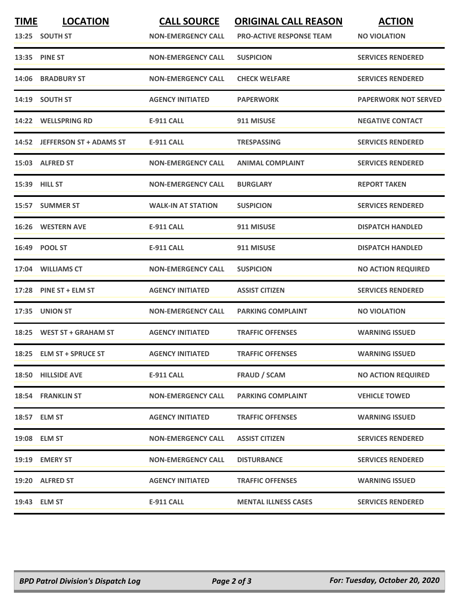| <b>TIME</b> | <b>LOCATION</b><br>13:25 SOUTH ST | <b>CALL SOURCE</b><br><b>NON-EMERGENCY CALL</b> | <b>ORIGINAL CALL REASON</b><br><b>PRO-ACTIVE RESPONSE TEAM</b> | <b>ACTION</b><br><b>NO VIOLATION</b> |
|-------------|-----------------------------------|-------------------------------------------------|----------------------------------------------------------------|--------------------------------------|
|             | 13:35 PINE ST                     | <b>NON-EMERGENCY CALL</b>                       | <b>SUSPICION</b>                                               | <b>SERVICES RENDERED</b>             |
| 14:06       | <b>BRADBURY ST</b>                | <b>NON-EMERGENCY CALL</b>                       | <b>CHECK WELFARE</b>                                           | <b>SERVICES RENDERED</b>             |
|             | 14:19 SOUTH ST                    | <b>AGENCY INITIATED</b>                         | <b>PAPERWORK</b>                                               | <b>PAPERWORK NOT SERVED</b>          |
| 14:22       | <b>WELLSPRING RD</b>              | E-911 CALL                                      | 911 MISUSE                                                     | <b>NEGATIVE CONTACT</b>              |
|             | 14:52 JEFFERSON ST + ADAMS ST     | <b>E-911 CALL</b>                               | <b>TRESPASSING</b>                                             | <b>SERVICES RENDERED</b>             |
|             | 15:03 ALFRED ST                   | <b>NON-EMERGENCY CALL</b>                       | <b>ANIMAL COMPLAINT</b>                                        | <b>SERVICES RENDERED</b>             |
|             | 15:39 HILL ST                     | <b>NON-EMERGENCY CALL</b>                       | <b>BURGLARY</b>                                                | <b>REPORT TAKEN</b>                  |
|             | 15:57 SUMMER ST                   | <b>WALK-IN AT STATION</b>                       | <b>SUSPICION</b>                                               | <b>SERVICES RENDERED</b>             |
| 16:26       | <b>WESTERN AVE</b>                | <b>E-911 CALL</b>                               | 911 MISUSE                                                     | <b>DISPATCH HANDLED</b>              |
|             | 16:49 POOL ST                     | <b>E-911 CALL</b>                               | 911 MISUSE                                                     | <b>DISPATCH HANDLED</b>              |
|             | 17:04 WILLIAMS CT                 | <b>NON-EMERGENCY CALL</b>                       | <b>SUSPICION</b>                                               | <b>NO ACTION REQUIRED</b>            |
|             | 17:28 PINE ST + ELM ST            | <b>AGENCY INITIATED</b>                         | <b>ASSIST CITIZEN</b>                                          | <b>SERVICES RENDERED</b>             |
| 17:35       | <b>UNION ST</b>                   | <b>NON-EMERGENCY CALL</b>                       | <b>PARKING COMPLAINT</b>                                       | <b>NO VIOLATION</b>                  |
|             | 18:25 WEST ST + GRAHAM ST         | <b>AGENCY INITIATED</b>                         | <b>TRAFFIC OFFENSES</b>                                        | <b>WARNING ISSUED</b>                |
|             | 18:25 ELM ST + SPRUCE ST          | <b>AGENCY INITIATED</b>                         | <b>TRAFFIC OFFENSES</b>                                        | <b>WARNING ISSUED</b>                |
|             | 18:50 HILLSIDE AVE                | <b>E-911 CALL</b>                               | <b>FRAUD / SCAM</b>                                            | <b>NO ACTION REQUIRED</b>            |
|             | 18:54 FRANKLIN ST                 | <b>NON-EMERGENCY CALL</b>                       | <b>PARKING COMPLAINT</b>                                       | <b>VEHICLE TOWED</b>                 |
|             | 18:57 ELM ST                      | <b>AGENCY INITIATED</b>                         | <b>TRAFFIC OFFENSES</b>                                        | <b>WARNING ISSUED</b>                |
|             | 19:08 ELM ST                      | <b>NON-EMERGENCY CALL</b>                       | <b>ASSIST CITIZEN</b>                                          | <b>SERVICES RENDERED</b>             |
|             | 19:19 EMERY ST                    | <b>NON-EMERGENCY CALL</b>                       | <b>DISTURBANCE</b>                                             | <b>SERVICES RENDERED</b>             |
|             | 19:20 ALFRED ST                   | <b>AGENCY INITIATED</b>                         | <b>TRAFFIC OFFENSES</b>                                        | <b>WARNING ISSUED</b>                |
|             | 19:43 ELM ST                      | E-911 CALL                                      | <b>MENTAL ILLNESS CASES</b>                                    | <b>SERVICES RENDERED</b>             |